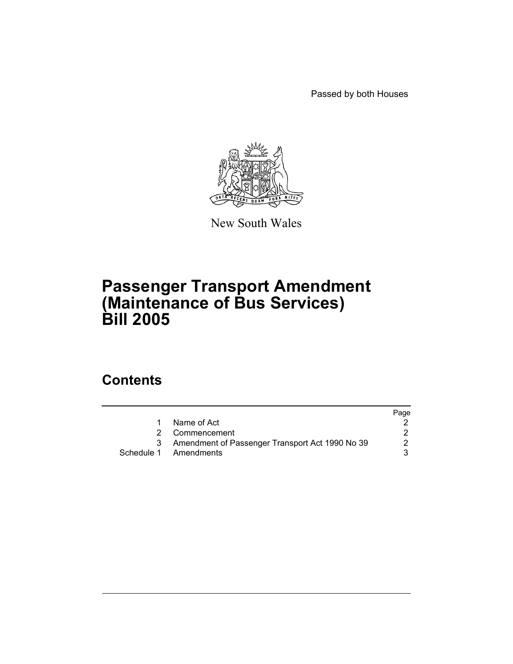Passed by both Houses



New South Wales

## **Passenger Transport Amendment (Maintenance of Bus Services) Bill 2005**

## **Contents**

|                                                 | Page                                    |
|-------------------------------------------------|-----------------------------------------|
| Name of Act                                     |                                         |
|                                                 |                                         |
| Amendment of Passenger Transport Act 1990 No 39 |                                         |
|                                                 |                                         |
|                                                 | 2 Commencement<br>Schedule 1 Amendments |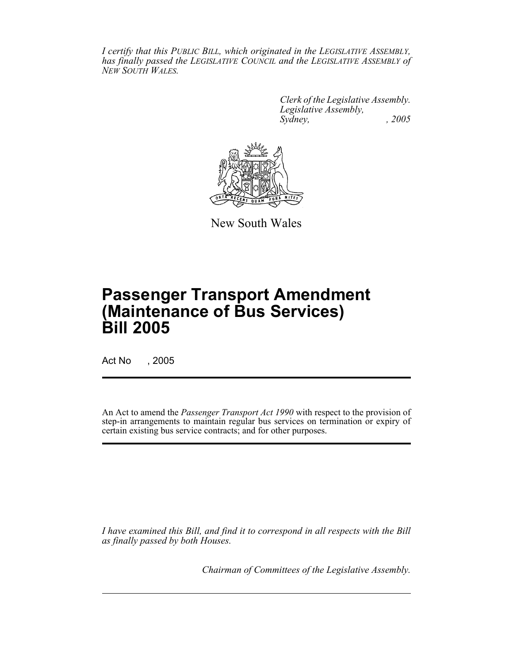*I certify that this PUBLIC BILL, which originated in the LEGISLATIVE ASSEMBLY, has finally passed the LEGISLATIVE COUNCIL and the LEGISLATIVE ASSEMBLY of NEW SOUTH WALES.*

> *Clerk of the Legislative Assembly. Legislative Assembly, Sydney, , 2005*



New South Wales

# **Passenger Transport Amendment (Maintenance of Bus Services) Bill 2005**

Act No , 2005

An Act to amend the *Passenger Transport Act 1990* with respect to the provision of step-in arrangements to maintain regular bus services on termination or expiry of certain existing bus service contracts; and for other purposes.

*I have examined this Bill, and find it to correspond in all respects with the Bill as finally passed by both Houses.*

*Chairman of Committees of the Legislative Assembly.*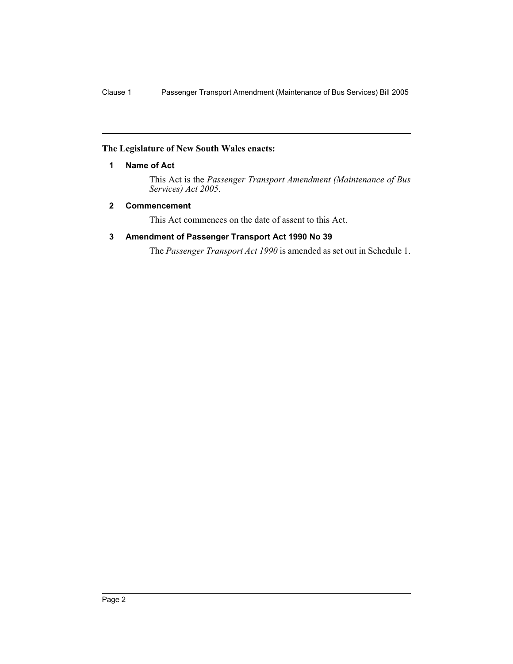## **The Legislature of New South Wales enacts:**

## **1 Name of Act**

This Act is the *Passenger Transport Amendment (Maintenance of Bus Services) Act 2005*.

## **2 Commencement**

This Act commences on the date of assent to this Act.

## **3 Amendment of Passenger Transport Act 1990 No 39**

The *Passenger Transport Act 1990* is amended as set out in Schedule 1.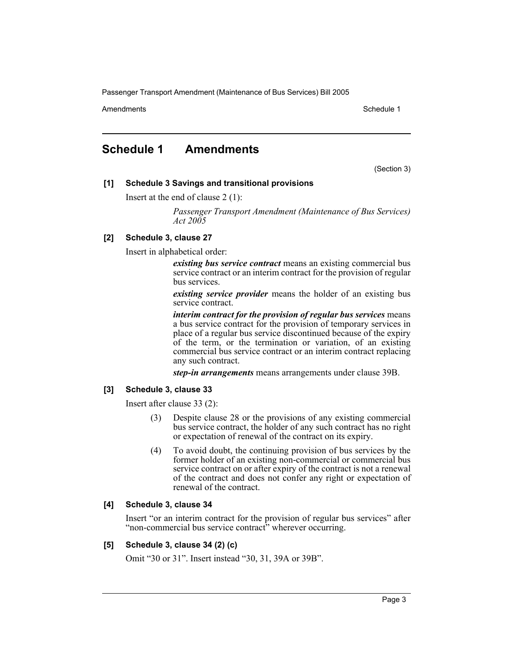Amendments **Amendments** Schedule 1

## **Schedule 1 Amendments**

(Section 3)

## **[1] Schedule 3 Savings and transitional provisions**

Insert at the end of clause 2 (1):

*Passenger Transport Amendment (Maintenance of Bus Services) Act 2005*

## **[2] Schedule 3, clause 27**

Insert in alphabetical order:

*existing bus service contract* means an existing commercial bus service contract or an interim contract for the provision of regular bus services.

*existing service provider* means the holder of an existing bus service contract.

*interim contract for the provision of regular bus services* means a bus service contract for the provision of temporary services in place of a regular bus service discontinued because of the expiry of the term, or the termination or variation, of an existing commercial bus service contract or an interim contract replacing any such contract.

*step-in arrangements* means arrangements under clause 39B.

## **[3] Schedule 3, clause 33**

Insert after clause 33 (2):

- Despite clause 28 or the provisions of any existing commercial bus service contract, the holder of any such contract has no right or expectation of renewal of the contract on its expiry.
- (4) To avoid doubt, the continuing provision of bus services by the former holder of an existing non-commercial or commercial bus service contract on or after expiry of the contract is not a renewal of the contract and does not confer any right or expectation of renewal of the contract.

## **[4] Schedule 3, clause 34**

Insert "or an interim contract for the provision of regular bus services" after "non-commercial bus service contract" wherever occurring.

## **[5] Schedule 3, clause 34 (2) (c)**

Omit "30 or 31". Insert instead "30, 31, 39A or 39B".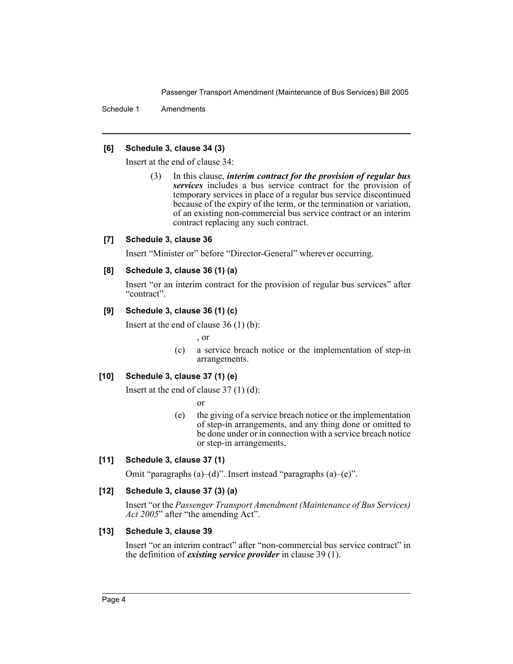Schedule 1 Amendments

#### **[6] Schedule 3, clause 34 (3)**

Insert at the end of clause 34:

(3) In this clause, *interim contract for the provision of regular bus services* includes a bus service contract for the provision of temporary services in place of a regular bus service discontinued because of the expiry of the term, or the termination or variation, of an existing non-commercial bus service contract or an interim contract replacing any such contract.

## **[7] Schedule 3, clause 36**

Insert "Minister or" before "Director-General" wherever occurring.

#### **[8] Schedule 3, clause 36 (1) (a)**

Insert "or an interim contract for the provision of regular bus services" after "contract".

#### **[9] Schedule 3, clause 36 (1) (c)**

Insert at the end of clause 36 (1) (b):

, or

(c) a service breach notice or the implementation of step-in arrangements.

## **[10] Schedule 3, clause 37 (1) (e)**

Insert at the end of clause 37 (1) (d):

or

(e) the giving of a service breach notice or the implementation of step-in arrangements, and any thing done or omitted to be done under or in connection with a service breach notice or step-in arrangements,

## **[11] Schedule 3, clause 37 (1)**

Omit "paragraphs (a)–(d)". Insert instead "paragraphs (a)–(e)".

## **[12] Schedule 3, clause 37 (3) (a)**

Insert "or the *Passenger Transport Amendment (Maintenance of Bus Services) Act 2005*" after "the amending Act".

## **[13] Schedule 3, clause 39**

Insert "or an interim contract" after "non-commercial bus service contract" in the definition of *existing service provider* in clause 39 (1).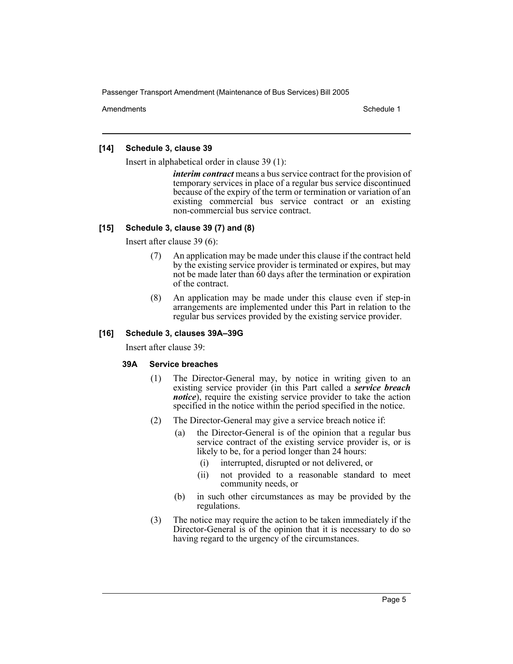Amendments **Amendments** Schedule 1

#### **[14] Schedule 3, clause 39**

Insert in alphabetical order in clause 39 (1):

*interim contract* means a bus service contract for the provision of temporary services in place of a regular bus service discontinued because of the expiry of the term or termination or variation of an existing commercial bus service contract or an existing non-commercial bus service contract.

#### **[15] Schedule 3, clause 39 (7) and (8)**

Insert after clause 39 (6):

- An application may be made under this clause if the contract held by the existing service provider is terminated or expires, but may not be made later than 60 days after the termination or expiration of the contract.
- (8) An application may be made under this clause even if step-in arrangements are implemented under this Part in relation to the regular bus services provided by the existing service provider.

#### **[16] Schedule 3, clauses 39A–39G**

Insert after clause 39:

## **39A Service breaches**

- (1) The Director-General may, by notice in writing given to an existing service provider (in this Part called a *service breach notice*), require the existing service provider to take the action specified in the notice within the period specified in the notice.
- (2) The Director-General may give a service breach notice if:
	- (a) the Director-General is of the opinion that a regular bus service contract of the existing service provider is, or is likely to be, for a period longer than 24 hours:
		- (i) interrupted, disrupted or not delivered, or
		- (ii) not provided to a reasonable standard to meet community needs, or
	- (b) in such other circumstances as may be provided by the regulations.
- (3) The notice may require the action to be taken immediately if the Director-General is of the opinion that it is necessary to do so having regard to the urgency of the circumstances.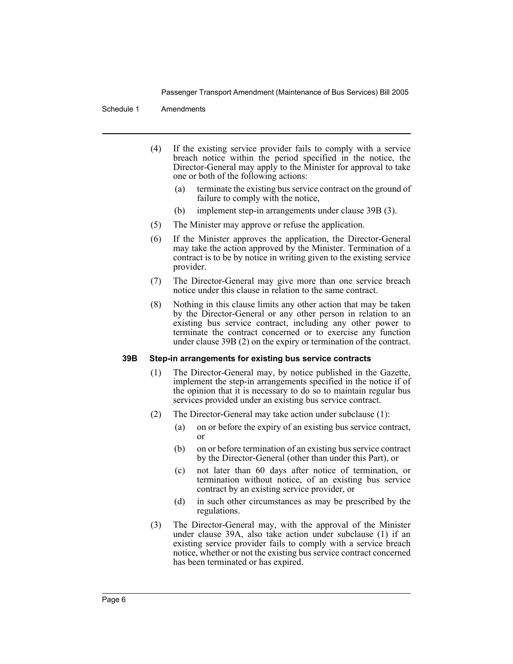#### Schedule 1 Amendments

- (4) If the existing service provider fails to comply with a service breach notice within the period specified in the notice, the Director-General may apply to the Minister for approval to take one or both of the following actions:
	- (a) terminate the existing bus service contract on the ground of failure to comply with the notice,
	- (b) implement step-in arrangements under clause 39B (3).
- (5) The Minister may approve or refuse the application.
- (6) If the Minister approves the application, the Director-General may take the action approved by the Minister. Termination of a contract is to be by notice in writing given to the existing service provider.
- (7) The Director-General may give more than one service breach notice under this clause in relation to the same contract.
- (8) Nothing in this clause limits any other action that may be taken by the Director-General or any other person in relation to an existing bus service contract, including any other power to terminate the contract concerned or to exercise any function under clause 39B (2) on the expiry or termination of the contract.

#### **39B Step-in arrangements for existing bus service contracts**

- (1) The Director-General may, by notice published in the Gazette, implement the step-in arrangements specified in the notice if of the opinion that it is necessary to do so to maintain regular bus services provided under an existing bus service contract.
- (2) The Director-General may take action under subclause (1):
	- (a) on or before the expiry of an existing bus service contract, or
	- (b) on or before termination of an existing bus service contract by the Director-General (other than under this Part), or
	- (c) not later than 60 days after notice of termination, or termination without notice, of an existing bus service contract by an existing service provider, or
	- (d) in such other circumstances as may be prescribed by the regulations.
- (3) The Director-General may, with the approval of the Minister under clause 39A, also take action under subclause (1) if an existing service provider fails to comply with a service breach notice, whether or not the existing bus service contract concerned has been terminated or has expired.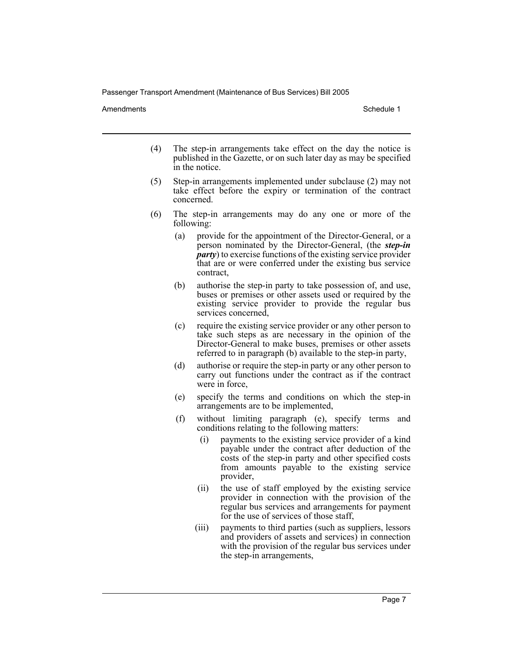Amendments **Schedule 1** and the set of the set of the set of the set of the set of the set of the set of the set of the set of the set of the set of the set of the set of the set of the set of the set of the set of the set

- (4) The step-in arrangements take effect on the day the notice is published in the Gazette, or on such later day as may be specified in the notice.
- (5) Step-in arrangements implemented under subclause (2) may not take effect before the expiry or termination of the contract concerned.
- (6) The step-in arrangements may do any one or more of the following:
	- (a) provide for the appointment of the Director-General, or a person nominated by the Director-General, (the *step-in party*) to exercise functions of the existing service provider that are or were conferred under the existing bus service contract,
	- (b) authorise the step-in party to take possession of, and use, buses or premises or other assets used or required by the existing service provider to provide the regular bus services concerned,
	- (c) require the existing service provider or any other person to take such steps as are necessary in the opinion of the Director-General to make buses, premises or other assets referred to in paragraph (b) available to the step-in party,
	- (d) authorise or require the step-in party or any other person to carry out functions under the contract as if the contract were in force,
	- (e) specify the terms and conditions on which the step-in arrangements are to be implemented,
	- (f) without limiting paragraph (e), specify terms and conditions relating to the following matters:
		- (i) payments to the existing service provider of a kind payable under the contract after deduction of the costs of the step-in party and other specified costs from amounts payable to the existing service provider,
		- (ii) the use of staff employed by the existing service provider in connection with the provision of the regular bus services and arrangements for payment for the use of services of those staff,
		- (iii) payments to third parties (such as suppliers, lessors and providers of assets and services) in connection with the provision of the regular bus services under the step-in arrangements,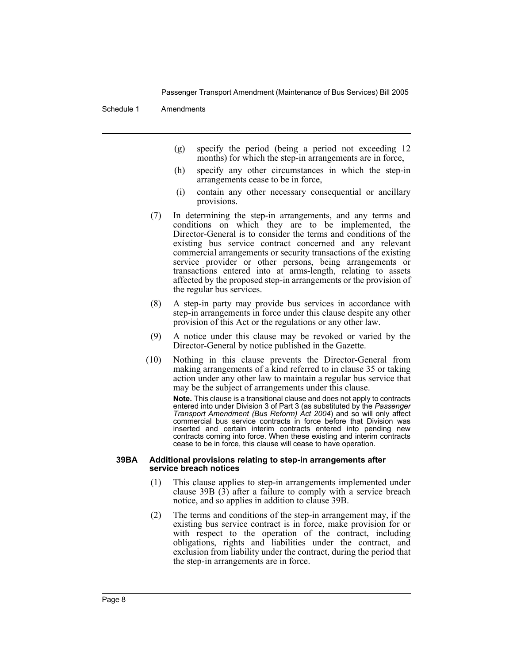#### Schedule 1 Amendments

- (g) specify the period (being a period not exceeding 12 months) for which the step-in arrangements are in force,
- (h) specify any other circumstances in which the step-in arrangements cease to be in force,
- (i) contain any other necessary consequential or ancillary provisions.
- (7) In determining the step-in arrangements, and any terms and conditions on which they are to be implemented, the Director-General is to consider the terms and conditions of the existing bus service contract concerned and any relevant commercial arrangements or security transactions of the existing service provider or other persons, being arrangements or transactions entered into at arms-length, relating to assets affected by the proposed step-in arrangements or the provision of the regular bus services.
- (8) A step-in party may provide bus services in accordance with step-in arrangements in force under this clause despite any other provision of this Act or the regulations or any other law.
- (9) A notice under this clause may be revoked or varied by the Director-General by notice published in the Gazette.
- (10) Nothing in this clause prevents the Director-General from making arrangements of a kind referred to in clause 35 or taking action under any other law to maintain a regular bus service that may be the subject of arrangements under this clause.

**Note.** This clause is a transitional clause and does not apply to contracts entered into under Division 3 of Part 3 (as substituted by the *Passenger Transport Amendment (Bus Reform) Act 2004*) and so will only affect commercial bus service contracts in force before that Division was inserted and certain interim contracts entered into pending new contracts coming into force. When these existing and interim contracts cease to be in force, this clause will cease to have operation.

#### **39BA Additional provisions relating to step-in arrangements after service breach notices**

- (1) This clause applies to step-in arrangements implemented under clause  $39B(3)$  after a failure to comply with a service breach notice, and so applies in addition to clause 39B.
- (2) The terms and conditions of the step-in arrangement may, if the existing bus service contract is in force, make provision for or with respect to the operation of the contract, including obligations, rights and liabilities under the contract, and exclusion from liability under the contract, during the period that the step-in arrangements are in force.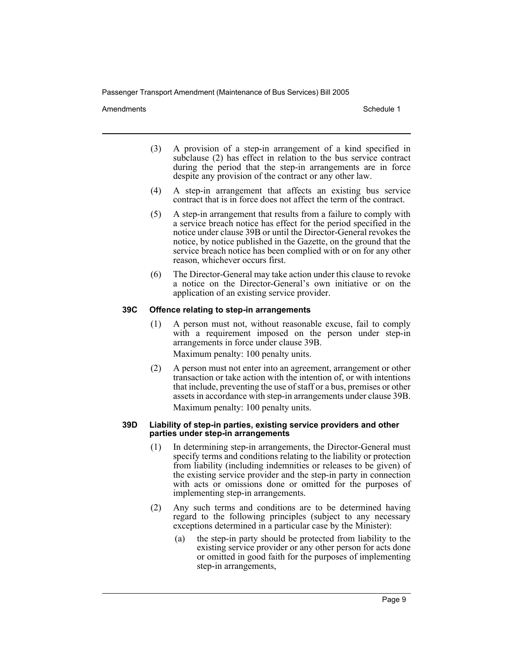Amendments **Schedule 1** and the set of the set of the set of the set of the set of the set of the set of the set of the set of the set of the set of the set of the set of the set of the set of the set of the set of the set

- (3) A provision of a step-in arrangement of a kind specified in subclause (2) has effect in relation to the bus service contract during the period that the step-in arrangements are in force despite any provision of the contract or any other law.
- (4) A step-in arrangement that affects an existing bus service contract that is in force does not affect the term of the contract.
- (5) A step-in arrangement that results from a failure to comply with a service breach notice has effect for the period specified in the notice under clause 39B or until the Director-General revokes the notice, by notice published in the Gazette, on the ground that the service breach notice has been complied with or on for any other reason, whichever occurs first.
- (6) The Director-General may take action under this clause to revoke a notice on the Director-General's own initiative or on the application of an existing service provider.

#### **39C Offence relating to step-in arrangements**

(1) A person must not, without reasonable excuse, fail to comply with a requirement imposed on the person under step-in arrangements in force under clause 39B.

Maximum penalty: 100 penalty units.

(2) A person must not enter into an agreement, arrangement or other transaction or take action with the intention of, or with intentions that include, preventing the use of staff or a bus, premises or other assets in accordance with step-in arrangements under clause 39B.

Maximum penalty: 100 penalty units.

#### **39D Liability of step-in parties, existing service providers and other parties under step-in arrangements**

- (1) In determining step-in arrangements, the Director-General must specify terms and conditions relating to the liability or protection from liability (including indemnities or releases to be given) of the existing service provider and the step-in party in connection with acts or omissions done or omitted for the purposes of implementing step-in arrangements.
- (2) Any such terms and conditions are to be determined having regard to the following principles (subject to any necessary exceptions determined in a particular case by the Minister):
	- (a) the step-in party should be protected from liability to the existing service provider or any other person for acts done or omitted in good faith for the purposes of implementing step-in arrangements,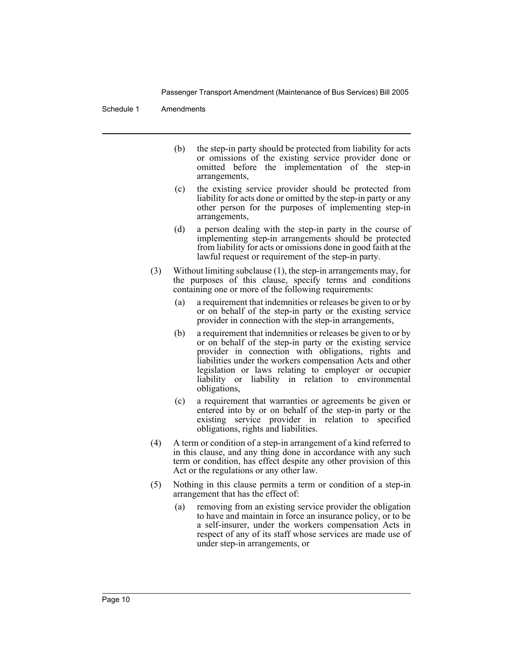#### Schedule 1 Amendments

- (b) the step-in party should be protected from liability for acts or omissions of the existing service provider done or omitted before the implementation of the step-in arrangements,
- (c) the existing service provider should be protected from liability for acts done or omitted by the step-in party or any other person for the purposes of implementing step-in arrangements,
- (d) a person dealing with the step-in party in the course of implementing step-in arrangements should be protected from liability for acts or omissions done in good faith at the lawful request or requirement of the step-in party.
- (3) Without limiting subclause (1), the step-in arrangements may, for the purposes of this clause, specify terms and conditions containing one or more of the following requirements:
	- (a) a requirement that indemnities or releases be given to or by or on behalf of the step-in party or the existing service provider in connection with the step-in arrangements,
	- (b) a requirement that indemnities or releases be given to or by or on behalf of the step-in party or the existing service provider in connection with obligations, rights and liabilities under the workers compensation Acts and other legislation or laws relating to employer or occupier liability or liability in relation to environmental obligations,
	- (c) a requirement that warranties or agreements be given or entered into by or on behalf of the step-in party or the existing service provider in relation to specified obligations, rights and liabilities.
- (4) A term or condition of a step-in arrangement of a kind referred to in this clause, and any thing done in accordance with any such term or condition, has effect despite any other provision of this Act or the regulations or any other law.
- (5) Nothing in this clause permits a term or condition of a step-in arrangement that has the effect of:
	- (a) removing from an existing service provider the obligation to have and maintain in force an insurance policy, or to be a self-insurer, under the workers compensation Acts in respect of any of its staff whose services are made use of under step-in arrangements, or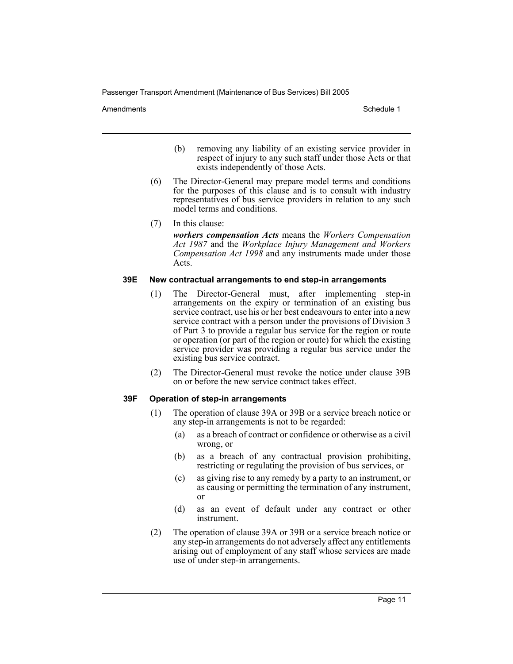Amendments **Schedule 1** and the set of the set of the set of the set of the set of the set of the set of the set of the set of the set of the set of the set of the set of the set of the set of the set of the set of the set

- (b) removing any liability of an existing service provider in respect of injury to any such staff under those Acts or that exists independently of those Acts.
- (6) The Director-General may prepare model terms and conditions for the purposes of this clause and is to consult with industry representatives of bus service providers in relation to any such model terms and conditions.
- (7) In this clause:

*workers compensation Acts* means the *Workers Compensation Act 1987* and the *Workplace Injury Management and Workers Compensation Act 1998* and any instruments made under those Acts.

#### **39E New contractual arrangements to end step-in arrangements**

- (1) The Director-General must, after implementing step-in arrangements on the expiry or termination of an existing bus service contract, use his or her best endeavours to enter into a new service contract with a person under the provisions of Division 3 of Part 3 to provide a regular bus service for the region or route or operation (or part of the region or route) for which the existing service provider was providing a regular bus service under the existing bus service contract.
- (2) The Director-General must revoke the notice under clause 39B on or before the new service contract takes effect.

## **39F Operation of step-in arrangements**

- (1) The operation of clause 39A or 39B or a service breach notice or any step-in arrangements is not to be regarded:
	- (a) as a breach of contract or confidence or otherwise as a civil wrong, or
	- (b) as a breach of any contractual provision prohibiting, restricting or regulating the provision of bus services, or
	- (c) as giving rise to any remedy by a party to an instrument, or as causing or permitting the termination of any instrument, or
	- (d) as an event of default under any contract or other instrument.
- (2) The operation of clause 39A or 39B or a service breach notice or any step-in arrangements do not adversely affect any entitlements arising out of employment of any staff whose services are made use of under step-in arrangements.